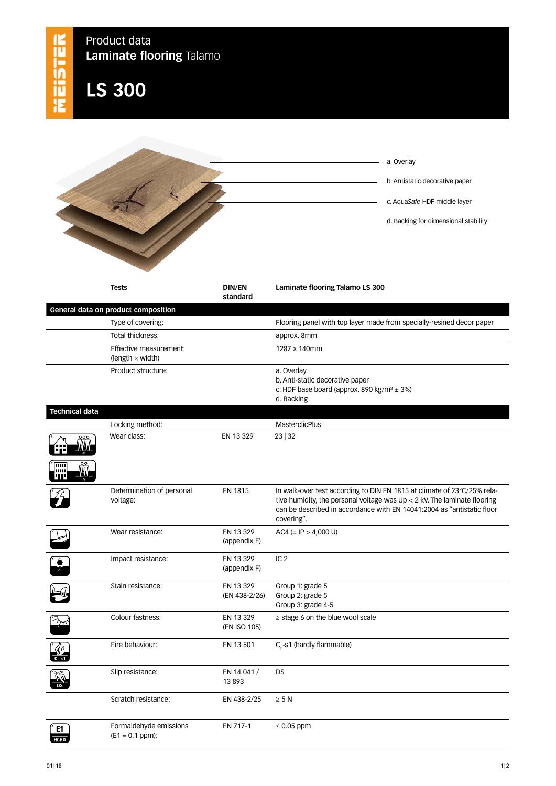| MEISTER                  | Product data<br>Laminate flooring Talamo          |                                |                                                                                                                                                                                                                                               |
|--------------------------|---------------------------------------------------|--------------------------------|-----------------------------------------------------------------------------------------------------------------------------------------------------------------------------------------------------------------------------------------------|
|                          | <b>LS 300</b>                                     |                                |                                                                                                                                                                                                                                               |
|                          |                                                   |                                |                                                                                                                                                                                                                                               |
|                          |                                                   |                                | a. Overlay                                                                                                                                                                                                                                    |
|                          |                                                   | b. Antistatic decorative paper |                                                                                                                                                                                                                                               |
|                          |                                                   | c. AquaSafe HDF middle layer   |                                                                                                                                                                                                                                               |
|                          |                                                   |                                |                                                                                                                                                                                                                                               |
|                          |                                                   |                                | d. Backing for dimensional stability                                                                                                                                                                                                          |
|                          | <b>Tests</b>                                      | <b>DIN/EN</b><br>standard      | Laminate flooring Talamo LS 300                                                                                                                                                                                                               |
|                          | General data on product composition               |                                |                                                                                                                                                                                                                                               |
|                          | Type of covering:<br>Total thickness:             |                                | Flooring panel with top layer made from specially-resined decor paper<br>approx. 8mm                                                                                                                                                          |
|                          | Effective measurement:<br>$(length \times width)$ |                                | 1287 x 140mm                                                                                                                                                                                                                                  |
|                          | Product structure:                                |                                | a. Overlay<br>b. Anti-static decorative paper<br>c. HDF base board (approx. 890 kg/m <sup>3</sup> $\pm$ 3%)<br>d. Backing                                                                                                                     |
| <b>Technical data</b>    |                                                   |                                |                                                                                                                                                                                                                                               |
|                          | Locking method:<br>Wear class:<br><i>นี้ไม่</i>   | EN 13 329                      | <b>MasterclicPlus</b><br>23 32                                                                                                                                                                                                                |
| `[iiiii<br>шш            |                                                   |                                |                                                                                                                                                                                                                                               |
|                          | Determination of personal<br>voltage:             | <b>EN 1815</b>                 | In walk-over test according to DIN EN 1815 at climate of 23°C/25% rela-<br>tive humidity, the personal voltage was $Up < 2$ kV. The laminate flooring<br>can be described in accordance with EN 14041:2004 as "antistatic floor<br>covering". |
|                          | Wear resistance:                                  | EN 13 329<br>(appendix E)      | $AC4 (= IP > 4,000 U)$                                                                                                                                                                                                                        |
|                          | Impact resistance:                                | EN 13 329<br>(appendix F)      | IC <sub>2</sub>                                                                                                                                                                                                                               |
|                          | Stain resistance:                                 | EN 13 329<br>(EN 438-2/26)     | Group 1: grade 5<br>Group 2: grade 5<br>Group 3: grade 4-5                                                                                                                                                                                    |
| $\overline{\mathcal{X}}$ | Colour fastness:                                  | EN 13 329<br>(EN ISO 105)      | $\ge$ stage 6 on the blue wool scale                                                                                                                                                                                                          |
|                          | Fire behaviour:                                   | EN 13 501                      | $C_{\text{fl}}$ -s1 (hardly flammable)                                                                                                                                                                                                        |
|                          | Slip resistance:                                  | EN 14 041 /<br>13893           | DS                                                                                                                                                                                                                                            |
|                          | Scratch resistance:                               | EN 438-2/25                    | $\geq 5$ N                                                                                                                                                                                                                                    |
| E1<br><b>HCHO</b>        | Formaldehyde emissions<br>$(E1 = 0.1 ppm):$       | EN 717-1                       | $\leq 0.05$ ppm                                                                                                                                                                                                                               |